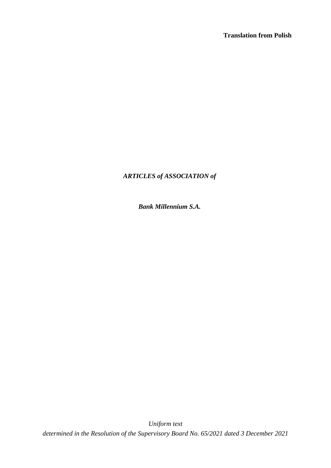# *ARTICLES of ASSOCIATION of*

 *Bank Millennium S.A.*

*Uniform text determined in the Resolution of the Supervisory Board No. 65/2021 dated 3 December 2021*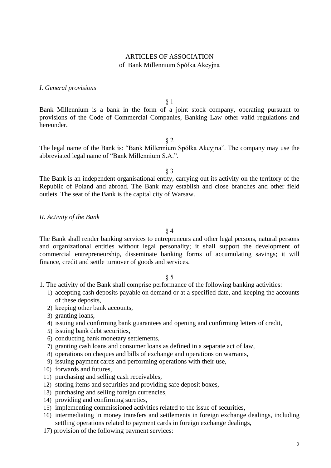## ARTICLES OF ASSOCIATION of Bank Millennium Spółka Akcyjna

## *I. General provisions*

§ 1

Bank Millennium is a bank in the form of a joint stock company, operating pursuant to provisions of the Code of Commercial Companies, Banking Law other valid regulations and hereunder.

§ 2

The legal name of the Bank is: "Bank Millennium Spółka Akcyjna". The company may use the abbreviated legal name of "Bank Millennium S.A.".

§ 3

The Bank is an independent organisational entity, carrying out its activity on the territory of the Republic of Poland and abroad. The Bank may establish and close branches and other field outlets. The seat of the Bank is the capital city of Warsaw.

#### *II. Activity of the Bank*

§ 4

The Bank shall render banking services to entrepreneurs and other legal persons, natural persons and organizational entities without legal personality; it shall support the development of commercial entrepreneurship, disseminate banking forms of accumulating savings; it will finance, credit and settle turnover of goods and services.

- 1. The activity of the Bank shall comprise performance of the following banking activities:
	- 1) accepting cash deposits payable on demand or at a specified date, and keeping the accounts of these deposits,
	- 2) keeping other bank accounts,
	- 3) granting loans,
	- 4) issuing and confirming bank guarantees and opening and confirming letters of credit,
	- 5) issuing bank debt securities,
	- 6) conducting bank monetary settlements,
	- 7) granting cash loans and consumer loans as defined in a separate act of law,
	- 8) operations on cheques and bills of exchange and operations on warrants,
	- 9) issuing payment cards and performing operations with their use,
	- 10) forwards and futures,
	- 11) purchasing and selling cash receivables,
	- 12) storing items and securities and providing safe deposit boxes,
	- 13) purchasing and selling foreign currencies,
	- 14) providing and confirming sureties,
	- 15) implementing commissioned activities related to the issue of securities,
	- 16) intermediating in money transfers and settlements in foreign exchange dealings, including settling operations related to payment cards in foreign exchange dealings,
	- 17) provision of the following payment services: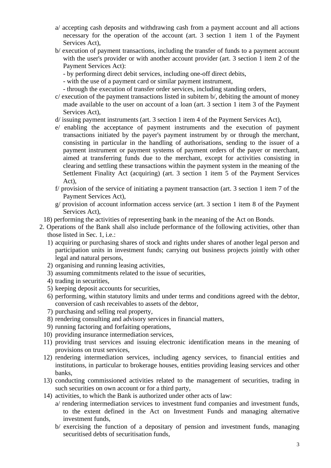- a/ accepting cash deposits and withdrawing cash from a payment account and all actions necessary for the operation of the account (art. 3 section 1 item 1 of the Payment Services Act),
- b/ execution of payment transactions, including the transfer of funds to a payment account with the user's provider or with another account provider (art. 3 section 1 item 2 of the Payment Services Act):
	- by performing direct debit services, including one-off direct debits,
	- with the use of a payment card or similar payment instrument,
	- through the execution of transfer order services, including standing orders,
- c/ execution of the payment transactions listed in subitem b/, debiting the amount of money made available to the user on account of a loan (art. 3 section 1 item 3 of the Payment Services Act),
- d/ issuing payment instruments (art. 3 section 1 item 4 of the Payment Services Act),
- e/ enabling the acceptance of payment instruments and the execution of payment transactions initiated by the payer's payment instrument by or through the merchant, consisting in particular in the handling of authorisations, sending to the issuer of a payment instrument or payment systems of payment orders of the payer or merchant, aimed at transferring funds due to the merchant, except for activities consisting in clearing and settling these transactions within the payment system in the meaning of the Settlement Finality Act (acquiring) (art. 3 section 1 item 5 of the Payment Services Act),
- f/ provision of the service of initiating a payment transaction (art. 3 section 1 item 7 of the Payment Services Act),
- g/ provision of account information access service (art. 3 section 1 item 8 of the Payment Services Act),
- 18) performing the activities of representing bank in the meaning of the Act on Bonds.
- 2. Operations of the Bank shall also include performance of the following activities, other than those listed in Sec. 1, i.e.:
	- 1) acquiring or purchasing shares of stock and rights under shares of another legal person and participation units in investment funds; carrying out business projects jointly with other legal and natural persons,
	- 2) organising and running leasing activities,
	- 3) assuming commitments related to the issue of securities,
	- 4) trading in securities,
	- 5) keeping deposit accounts for securities,
	- 6) performing, within statutory limits and under terms and conditions agreed with the debtor, conversion of cash receivables to assets of the debtor,
	- 7) purchasing and selling real property,
	- 8) rendering consulting and advisory services in financial matters,
	- 9) running factoring and forfaiting operations,
	- 10) providing insurance intermediation services,
	- 11) providing trust services and issuing electronic identification means in the meaning of provisions on trust services,
	- 12) rendering intermediation services, including agency services, to financial entities and institutions, in particular to brokerage houses, entities providing leasing services and other banks,
	- 13) conducting commissioned activities related to the management of securities, trading in such securities on own account or for a third party,
	- 14) activities, to which the Bank is authorized under other acts of law:
		- a/ rendering intermediation services to investment fund companies and investment funds, to the extent defined in the Act on Investment Funds and managing alternative investment funds,
		- b/ exercising the function of a depositary of pension and investment funds, managing securitised debts of securitisation funds,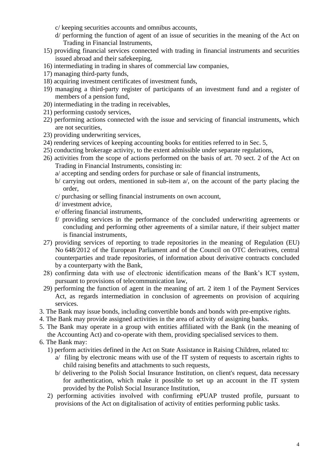c/ keeping securities accounts and omnibus accounts,

- d/ performing the function of agent of an issue of securities in the meaning of the Act on Trading in Financial Instruments,
- 15) providing financial services connected with trading in financial instruments and securities issued abroad and their safekeeping,
- 16) intermediating in trading in shares of commercial law companies,
- 17) managing third-party funds,
- 18) acquiring investment certificates of investment funds,
- 19) managing a third-party register of participants of an investment fund and a register of members of a pension fund,
- 20) intermediating in the trading in receivables,
- 21) performing custody services,
- 22) performing actions connected with the issue and servicing of financial instruments, which are not securities,
- 23) providing underwriting services,
- 24) rendering services of keeping accounting books for entities referred to in Sec. 5,
- 25) conducting brokerage activity, to the extent admissible under separate regulations,
- 26) activities from the scope of actions performed on the basis of art. 70 sect. 2 of the Act on Trading in Financial Instruments, consisting in:
	- a/ accepting and sending orders for purchase or sale of financial instruments,
	- b/ carrying out orders, mentioned in sub-item a/, on the account of the party placing the order,
	- c/ purchasing or selling financial instruments on own account,
	- d/ investment advice,
	- e/ offering financial instruments,
	- f/ providing services in the performance of the concluded underwriting agreements or concluding and performing other agreements of a similar nature, if their subject matter is financial instruments,
- 27) providing services of reporting to trade repositories in the meaning of Regulation (EU) No 648/2012 of the European Parliament and of the Council on OTC derivatives, central counterparties and trade repositories, of information about derivative contracts concluded by a counterparty with the Bank,
- 28) confirming data with use of electronic identification means of the Bank's ICT system, pursuant to provisions of telecommunication law,
- 29) performing the function of agent in the meaning of art. 2 item 1 of the Payment Services Act, as regards intermediation in conclusion of agreements on provision of acquiring services.
- 3. The Bank may issue bonds, including convertible bonds and bonds with pre-emptive rights.
- 4. The Bank may provide assigned activities in the area of activity of assigning banks.
- 5. The Bank may operate in a group with entities affiliated with the Bank (in the meaning of the Accounting Act) and co-operate with them, providing specialised services to them.
- 6. The Bank may:
	- 1) perform activities defined in the Act on State Assistance in Raising Children, related to:
		- a/ filing by electronic means with use of the IT system of requests to ascertain rights to child raising benefits and attachments to such requests,
		- b/ delivering to the Polish Social Insurance Institution, on client's request, data necessary for authentication, which make it possible to set up an account in the IT system provided by the Polish Social Insurance Institution,
	- 2) performing activities involved with confirming ePUAP trusted profile, pursuant to provisions of the Act on digitalisation of activity of entities performing public tasks.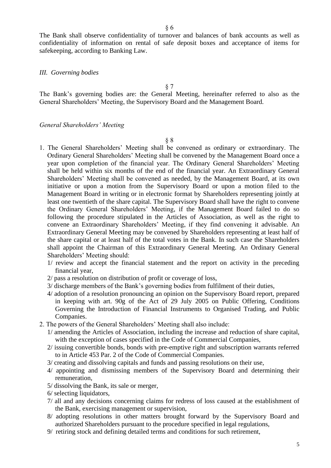The Bank shall observe confidentiality of turnover and balances of bank accounts as well as confidentiality of information on rental of safe deposit boxes and acceptance of items for safekeeping, according to Banking Law.

## *III. Governing bodies*

§ 7

The Bank's governing bodies are: the General Meeting, hereinafter referred to also as the General Shareholders' Meeting, the Supervisory Board and the Management Board.

#### *General Shareholders' Meeting*

- 1. The General Shareholders' Meeting shall be convened as ordinary or extraordinary. The Ordinary General Shareholders' Meeting shall be convened by the Management Board once a year upon completion of the financial year. The Ordinary General Shareholders' Meeting shall be held within six months of the end of the financial year. An Extraordinary General Shareholders' Meeting shall be convened as needed, by the Management Board, at its own initiative or upon a motion from the Supervisory Board or upon a motion filed to the Management Board in writing or in electronic format by Shareholders representing jointly at least one twentieth of the share capital. The Supervisory Board shall have the right to convene the Ordinary General Shareholders' Meeting, if the Management Board failed to do so following the procedure stipulated in the Articles of Association, as well as the right to convene an Extraordinary Shareholders' Meeting, if they find convening it advisable. An Extraordinary General Meeting may be convened by Shareholders representing at least half of the share capital or at least half of the total votes in the Bank. In such case the Shareholders shall appoint the Chairman of this Extraordinary General Meeting. An Ordinary General Shareholders' Meeting should:
	- 1/ review and accept the financial statement and the report on activity in the preceding financial year,
	- 2/ pass a resolution on distribution of profit or coverage of loss,
	- 3/ discharge members of the Bank's governing bodies from fulfilment of their duties,
	- 4/ adoption of a resolution pronouncing an opinion on the Supervisory Board report, prepared in keeping with art. 90g of the Act of 29 July 2005 on Public Offering, Conditions Governing the Introduction of Financial Instruments to Organised Trading, and Public Companies.
- 2. The powers of the General Shareholders' Meeting shall also include:
	- 1/ amending the Articles of Association, including the increase and reduction of share capital, with the exception of cases specified in the Code of Commercial Companies,
	- 2/ issuing convertible bonds, bonds with pre-emptive right and subscription warrants referred to in Article 453 Par. 2 of the Code of Commercial Companies.
	- 3/ creating and dissolving capitals and funds and passing resolutions on their use,
	- 4/ appointing and dismissing members of the Supervisory Board and determining their remuneration,
	- 5/ dissolving the Bank, its sale or merger,
	- 6/ selecting liquidators,
	- 7/ all and any decisions concerning claims for redress of loss caused at the establishment of the Bank, exercising management or supervision,
	- 8/ adopting resolutions in other matters brought forward by the Supervisory Board and authorized Shareholders pursuant to the procedure specified in legal regulations,
	- 9/ retiring stock and defining detailed terms and conditions for such retirement,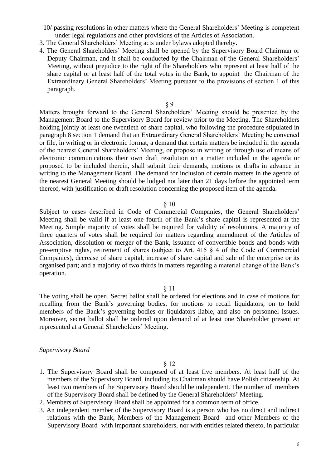- 10/ passing resolutions in other matters where the General Shareholders' Meeting is competent under legal regulations and other provisions of the Articles of Association.
- 3. The General Shareholders' Meeting acts under bylaws adopted thereby.
- 4. The General Shareholders' Meeting shall be opened by the Supervisory Board Chairman or Deputy Chairman, and it shall be conducted by the Chairman of the General Shareholders' Meeting, without prejudice to the right of the Shareholders who represent at least half of the share capital or at least half of the total votes in the Bank, to appoint the Chairman of the Extraordinary General Shareholders' Meeting pursuant to the provisions of section 1 of this paragraph.

Matters brought forward to the General Shareholders' Meeting should be presented by the Management Board to the Supervisory Board for review prior to the Meeting. The Shareholders holding jointly at least one twentieth of share capital, who following the procedure stipulated in paragraph 8 section 1 demand that an Extraordinary General Shareholders' Meeting be convened or file, in writing or in electronic format, a demand that certain matters be included in the agenda of the nearest General Shareholders' Meeting, or propose in writing or through use of means of electronic communications their own draft resolution on a matter included in the agenda or proposed to be included therein, shall submit their demands, motions or drafts in advance in writing to the Management Board. The demand for inclusion of certain matters in the agenda of the nearest General Meeting should be lodged not later than 21 days before the appointed term thereof, with justification or draft resolution concerning the proposed item of the agenda.

#### § 10

Subject to cases described in Code of Commercial Companies, the General Shareholders' Meeting shall be valid if at least one fourth of the Bank's share capital is represented at the Meeting. Simple majority of votes shall be required for validity of resolutions. A majority of three quarters of votes shall be required for matters regarding amendment of the Articles of Association, dissolution or merger of the Bank, issuance of convertible bonds and bonds with pre-emptive rights, retirement of shares (subject to Art. 415 § 4 of the Code of Commercial Companies), decrease of share capital, increase of share capital and sale of the enterprise or its organised part; and a majority of two thirds in matters regarding a material change of the Bank's operation.

## § 11

The voting shall be open. Secret ballot shall be ordered for elections and in case of motions for recalling from the Bank's governing bodies, for motions to recall liquidators, on to hold members of the Bank's governing bodies or liquidators liable, and also on personnel issues. Moreover, secret ballot shall be ordered upon demand of at least one Shareholder present or represented at a General Shareholders' Meeting.

#### *Supervisory Board*

- 1. The Supervisory Board shall be composed of at least five members. At least half of the members of the Supervisory Board, including its Chairman should have Polish citizenship. At least two members of the Supervisory Board should be independent. The number of members of the Supervisory Board shall be defined by the General Shareholders' Meeting.
- 2. Members of Supervisory Board shall be appointed for a common term of office.
- 3. An independent member of the Supervisory Board is a person who has no direct and indirect relations with the Bank, Members of the Management Board and other Members of the Supervisory Board with important shareholders, nor with entities related thereto, in particular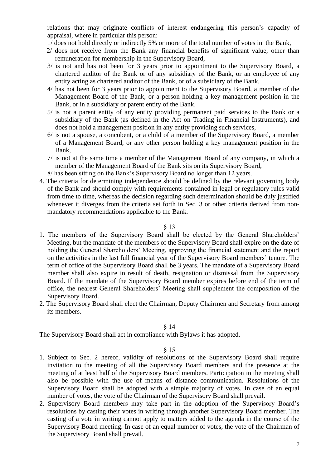relations that may originate conflicts of interest endangering this person's capacity of appraisal, where in particular this person:

- 1/ does not hold directly or indirectly 5% or more of the total number of votes in the Bank,
- 2/ does not receive from the Bank any financial benefits of significant value, other than remuneration for membership in the Supervisory Board,
- 3/ is not and has not been for 3 years prior to appointment to the Supervisory Board, a chartered auditor of the Bank or of any subsidiary of the Bank, or an employee of any entity acting as chartered auditor of the Bank, or of a subsidiary of the Bank,
- 4/ has not been for 3 years prior to appointment to the Supervisory Board, a member of the Management Board of the Bank, or a person holding a key management position in the Bank, or in a subsidiary or parent entity of the Bank,
- 5/ is not a parent entity of any entity providing permanent paid services to the Bank or a subsidiary of the Bank (as defined in the Act on Trading in Financial Instruments), and does not hold a management position in any entity providing such services,
- 6/ is not a spouse, a concubent, or a child of a member of the Supervisory Board, a member of a Management Board, or any other person holding a key management position in the Bank,
- 7/ is not at the same time a member of the Management Board of any company, in which a member of the Management Board of the Bank sits on its Supervisory Board,
- 8/ has been sitting on the Bank's Supervisory Board no longer than 12 years.
- 4. The criteria for determining independence should be defined by the relevant governing body of the Bank and should comply with requirements contained in legal or regulatory rules valid from time to time, whereas the decision regarding such determination should be duly justified whenever it diverges from the criteria set forth in Sec. 3 or other criteria derived from nonmandatory recommendations applicable to the Bank.

#### § 13

- 1. The members of the Supervisory Board shall be elected by the General Shareholders' Meeting, but the mandate of the members of the Supervisory Board shall expire on the date of holding the General Shareholders' Meeting, approving the financial statement and the report on the activities in the last full financial year of the Supervisory Board members' tenure. The term of office of the Supervisory Board shall be 3 years. The mandate of a Supervisory Board member shall also expire in result of death, resignation or dismissal from the Supervisory Board. If the mandate of the Supervisory Board member expires before end of the term of office, the nearest General Shareholders' Meeting shall supplement the composition of the Supervisory Board.
- 2. The Supervisory Board shall elect the Chairman, Deputy Chairmen and Secretary from among its members.

#### § 14

The Supervisory Board shall act in compliance with Bylaws it has adopted.

- 1. Subject to Sec. 2 hereof, validity of resolutions of the Supervisory Board shall require invitation to the meeting of all the Supervisory Board members and the presence at the meeting of at least half of the Supervisory Board members. Participation in the meeting shall also be possible with the use of means of distance communication. Resolutions of the Supervisory Board shall be adopted with a simple majority of votes. In case of an equal number of votes, the vote of the Chairman of the Supervisory Board shall prevail.
- 2. Supervisory Board members may take part in the adoption of the Supervisory Board's resolutions by casting their votes in writing through another Supervisory Board member. The casting of a vote in writing cannot apply to matters added to the agenda in the course of the Supervisory Board meeting. In case of an equal number of votes, the vote of the Chairman of the Supervisory Board shall prevail.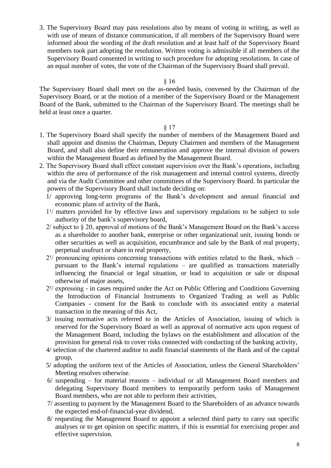3. The Supervisory Board may pass resolutions also by means of voting in writing, as well as with use of means of distance communication, if all members of the Supervisory Board were informed about the wording of the draft resolution and at least half of the Supervisory Board members took part adopting the resolution. Written voting is admissible if all members of the Supervisory Board consented in writing to such procedure for adopting resolutions. In case of an equal number of votes, the vote of the Chairman of the Supervisory Board shall prevail.

## § 16

The Supervisory Board shall meet on the as-needed basis, convened by the Chairman of the Supervisory Board, or at the motion of a member of the Supervisory Board or the Management Board of the Bank, submitted to the Chairman of the Supervisory Board. The meetings shall be held at least once a quarter.

- 1. The Supervisory Board shall specify the number of members of the Management Board and shall appoint and dismiss the Chairman, Deputy Chairmen and members of the Management Board, and shall also define their remuneration and approve the internal division of powers within the Management Board as defined by the Management Board.
- 2. The Supervisory Board shall effect constant supervision over the Bank's operations, including within the area of performance of the risk management and internal control systems, directly and via the Audit Committee and other committees of the Supervisory Board. In particular the powers of the Supervisory Board shall include deciding on:
	- 1/ approving long-term programs of the Bank's development and annual financial and economic plans of activity of the Bank,
	- $1<sup>1</sup>$  matters provided for by effective laws and supervisory regulations to be subject to sole authority of the bank's supervisory board,
	- 2/ subject to § 20, approval of motions of the Bank's Management Board on the Bank's access as a shareholder to another bank, enterprise or other organizational unit, issuing bonds or other securities as well as acquisition, encumbrance and sale by the Bank of real property, perpetual usufruct or share in real property,
	- $2^{1/2}$  pronouncing opinions concerning transactions with entities related to the Bank, which pursuant to the Bank's internal regulations – are qualified as transactions materially influencing the financial or legal situation, or lead to acquisition or sale or disposal otherwise of major assets,
	- 2²/ expressing in cases required under the Act on Public Offering and Conditions Governing the Introduction of Financial Instruments to Organized Trading as well as Public Companies - consent for the Bank to conclude with its associated entity a material transaction in the meaning of this Act,
	- 3/ issuing normative acts referred to in the Articles of Association, issuing of which is reserved for the Supervisory Board as well as approval of normative acts upon request of the Management Board, including the bylaws on the establishment and allocation of the provision for general risk to cover risks connected with conducting of the banking activity,
	- 4/ selection of the chartered auditor to audit financial statements of the Bank and of the capital group,
	- 5/ adopting the uniform text of the Articles of Association, unless the General Shareholders' Meeting resolves otherwise.
	- 6/ suspending for material reasons individual or all Management Board members and delegating Supervisory Board members to temporarily perform tasks of Management Board members, who are not able to perform their activities,
	- 7/ assenting to payment by the Management Board to the Shareholders of an advance towards the expected end-of-financial-year dividend,
	- 8/ requesting the Management Board to appoint a selected third party to carry out specific analyses or to get opinion on specific matters, if this is essential for exercising proper and effective supervision.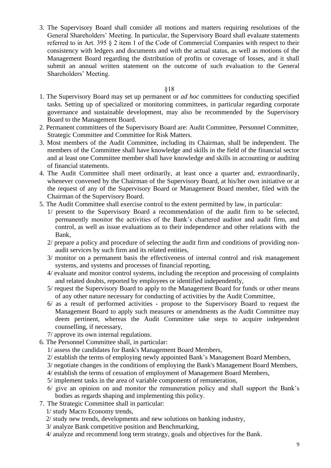3. The Supervisory Board shall consider all motions and matters requiring resolutions of the General Shareholders' Meeting. In particular, the Supervisory Board shall evaluate statements referred to in Art. 395 § 2 item 1 of the Code of Commercial Companies with respect to their consistency with ledgers and documents and with the actual status, as well as motions of the Management Board regarding the distribution of profits or coverage of losses, and it shall submit an annual written statement on the outcome of such evaluation to the General Shareholders' Meeting.

- 1. The Supervisory Board may set up permanent or *ad hoc* committees for conducting specified tasks. Setting up of specialized or monitoring committees, in particular regarding corporate governance and sustainable development, may also be recommended by the Supervisory Board to the Management Board.
- 2. Permanent committees of the Supervisory Board are: Audit Committee, Personnel Committee, Strategic Committee and Committee for Risk Matters.
- 3. Most members of the Audit Committee, including its Chairman, shall be independent. The members of the Committee shall have knowledge and skills in the field of the financial sector and at least one Committee member shall have knowledge and skills in accounting or auditing of financial statements.
- 4. The Audit Committee shall meet ordinarily, at least once a quarter and, extraordinarily, whenever convened by the Chairman of the Supervisory Board, at his/her own initiative or at the request of any of the Supervisory Board or Management Board member, filed with the Chairman of the Supervisory Board.
- 5. The Audit Committee shall exercise control to the extent permitted by law, in particular:
	- 1/ present to the Supervisory Board a recommendation of the audit firm to be selected, permanently monitor the activities of the Bank's chartered auditor and audit firm, and control, as well as issue evaluations as to their independence and other relations with the Bank,
	- 2/ prepare a policy and procedure of selecting the audit firm and conditions of providing nonaudit services by such firm and its related entities,
	- 3/ monitor on a permanent basis the effectiveness of internal control and risk management systems, and systems and processes of financial reporting,
	- 4/ evaluate and monitor control systems, including the reception and processing of complaints and related doubts, reported by employees or identified independently,
	- 5/ request the Supervisory Board to apply to the Management Board for funds or other means of any other nature necessary for conducting of activities by the Audit Committee,
	- 6/ as a result of performed activities propose to the Supervisory Board to request the Management Board to apply such measures or amendments as the Audit Committee may deem pertinent, whereas the Audit Committee take steps to acquire independent counselling, if necessary,
	- 7/ approve its own internal regulations.
- 6. The Personnel Committee shall, in particular:
	- 1/ assess the candidates for Bank's Management Board Members,
	- 2/ establish the terms of employing newly appointed Bank's Management Board Members,
	- 3/ negotiate changes in the conditions of employing the Bank's Management Board Members,
	- 4/ establish the terms of cessation of employment of Management Board Members,
	- 5/ implement tasks in the area of variable components of remuneration,
	- 6/ give an opinion on and monitor the remuneration policy and shall support the Bank's bodies as regards shaping and implementing this policy.
- 7. The Strategic Committee shall in particular:
	- 1/ study Macro Economy trends,
	- 2/ study new trends, developments and new solutions on banking industry,
	- 3/ analyze Bank competitive position and Benchmarking,
	- 4/ analyze and recommend long term strategy, goals and objectives for the Bank.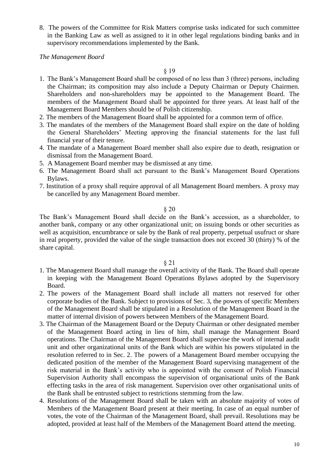8. The powers of the Committee for Risk Matters comprise tasks indicated for such committee in the Banking Law as well as assigned to it in other legal regulations binding banks and in supervisory recommendations implemented by the Bank.

*The Management Board*

§ 19

- 1. The Bank's Management Board shall be composed of no less than 3 (three) persons, including the Chairman; its composition may also include a Deputy Chairman or Deputy Chairmen. Shareholders and non-shareholders may be appointed to the Management Board. The members of the Management Board shall be appointed for three years. At least half of the Management Board Members should be of Polish citizenship.
- 2. The members of the Management Board shall be appointed for a common term of office.
- 3. The mandates of the members of the Management Board shall expire on the date of holding the General Shareholders' Meeting approving the financial statements for the last full financial year of their tenure.
- 4. The mandate of a Management Board member shall also expire due to death, resignation or dismissal from the Management Board.
- 5. A Management Board member may be dismissed at any time.
- 6. The Management Board shall act pursuant to the Bank's Management Board Operations Bylaws.
- 7. Institution of a proxy shall require approval of all Management Board members. A proxy may be cancelled by any Management Board member.

#### § 20

The Bank's Management Board shall decide on the Bank's accession, as a shareholder, to another bank, company or any other organizational unit; on issuing bonds or other securities as well as acquisition, encumbrance or sale by the Bank of real property, perpetual usufruct or share in real property, provided the value of the single transaction does not exceed 30 (thirty) % of the share capital.

- 1. The Management Board shall manage the overall activity of the Bank. The Board shall operate in keeping with the Management Board Operations Bylaws adopted by the Supervisory Board.
- 2. The powers of the Management Board shall include all matters not reserved for other corporate bodies of the Bank. Subject to provisions of Sec. 3, the powers of specific Members of the Management Board shall be stipulated in a Resolution of the Management Board in the matter of internal division of powers between Members of the Management Board.
- 3. The Chairman of the Management Board or the Deputy Chairman or other designated member of the Management Board acting in lieu of him, shall manage the Management Board operations. The Chairman of the Management Board shall supervise the work of internal audit unit and other organizational units of the Bank which are within his powers stipulated in the resolution referred to in Sec. 2. The powers of a Management Board member occupying the dedicated position of the member of the Management Board supervising management of the risk material in the Bank's activity who is appointed with the consent of Polish Financial Supervision Authority shall encompass the supervision of organisational units of the Bank effecting tasks in the area of risk management. Supervision over other organisational units of the Bank shall be entrusted subject to restrictions stemming from the law.
- 4. Resolutions of the Management Board shall be taken with an absolute majority of votes of Members of the Management Board present at their meeting. In case of an equal number of votes, the vote of the Chairman of the Management Board, shall prevail. Resolutions may be adopted, provided at least half of the Members of the Management Board attend the meeting.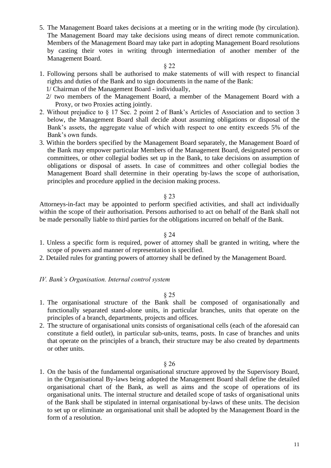5. The Management Board takes decisions at a meeting or in the writing mode (by circulation). The Management Board may take decisions using means of direct remote communication. Members of the Management Board may take part in adopting Management Board resolutions by casting their votes in writing through intermediation of another member of the Management Board.

#### § 22

- 1. Following persons shall be authorised to make statements of will with respect to financial rights and duties of the Bank and to sign documents in the name of the Bank:
	- 1/ Chairman of the Management Board individually,
	- 2/ two members of the Management Board, a member of the Management Board with a Proxy, or two Proxies acting jointly.
- 2. Without prejudice to § 17 Sec. 2 point 2 of Bank's Articles of Association and to section 3 below, the Management Board shall decide about assuming obligations or disposal of the Bank's assets, the aggregate value of which with respect to one entity exceeds 5% of the Bank's own funds.
- 3. Within the borders specified by the Management Board separately, the Management Board of the Bank may empower particular Members of the Management Board, designated persons or committees, or other collegial bodies set up in the Bank, to take decisions on assumption of obligations or disposal of assets. In case of committees and other collegial bodies the Management Board shall determine in their operating by-laws the scope of authorisation, principles and procedure applied in the decision making process.

#### § 23

Attorneys-in-fact may be appointed to perform specified activities, and shall act individually within the scope of their authorisation. Persons authorised to act on behalf of the Bank shall not be made personally liable to third parties for the obligations incurred on behalf of the Bank.

## § 24

- 1. Unless a specific form is required, power of attorney shall be granted in writing, where the scope of powers and manner of representation is specified.
- 2. Detailed rules for granting powers of attorney shall be defined by the Management Board.
- *IV. Bank's Organisation. Internal control system*

## § 25

- 1. The organisational structure of the Bank shall be composed of organisationally and functionally separated stand-alone units, in particular branches, units that operate on the principles of a branch, departments, projects and offices.
- 2. The structure of organisational units consists of organisational cells (each of the aforesaid can constitute a field outlet), in particular sub-units, teams, posts. In case of branches and units that operate on the principles of a branch, their structure may be also created by departments or other units.

§ 26

1. On the basis of the fundamental organisational structure approved by the Supervisory Board, in the Organisational By-laws being adopted the Management Board shall define the detailed organisational chart of the Bank, as well as aims and the scope of operations of its organisational units. The internal structure and detailed scope of tasks of organisational units of the Bank shall be stipulated in internal organisational by-laws of these units. The decision to set up or eliminate an organisational unit shall be adopted by the Management Board in the form of a resolution.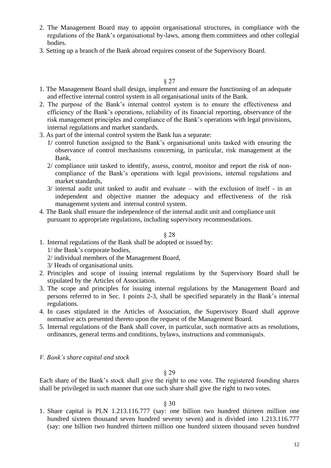- 2. The Management Board may to appoint organisational structures, in compliance with the regulations of the Bank's organisational by-laws, among them committees and other collegial bodies.
- 3. Setting up a branch of the Bank abroad requires consent of the Supervisory Board.

- 1. The Management Board shall design, implement and ensure the functioning of an adequate and effective internal control system in all organisational units of the Bank.
- 2. The purpose of the Bank's internal control system is to ensure the effectiveness and efficiency of the Bank's operations, reliability of its financial reporting, observance of the risk management principles and compliance of the Bank's operations with legal provisions, internal regulations and market standards.
- 3. As part of the internal control system the Bank has a separate:
	- 1/ control function assigned to the Bank's organisational units tasked with ensuring the observance of control mechanisms concerning, in particular, risk management at the Bank,
	- 2/ compliance unit tasked to identify, assess, control, monitor and report the risk of noncompliance of the Bank's operations with legal provisions, internal regulations and market standards,
	- 3/ internal audit unit tasked to audit and evaluate with the exclusion of itself in an independent and objective manner the adequacy and effectiveness of the risk management system and internal control system.
- 4. The Bank shall ensure the independence of the internal audit unit and compliance unit pursuant to appropriate regulations, including supervisory recommendations.

## § 28

- 1. Internal regulations of the Bank shall be adopted or issued by:
	- 1/ the Bank's corporate bodies,
	- 2/ individual members of the Management Board,
	- 3/ Heads of organisational units.
- 2. Principles and scope of issuing internal regulations by the Supervisory Board shall be stipulated by the Articles of Association.
- 3. The scope and principles for issuing internal regulations by the Management Board and persons referred to in Sec. 1 points 2-3, shall be specified separately in the Bank's internal regulations.
- 4. In cases stipulated in the Articles of Association, the Supervisory Board shall approve normative acts presented thereto upon the request of the Management Board.
- 5. Internal regulations of the Bank shall cover, in particular, such normative acts as resolutions, ordinances, general terms and conditions, bylaws, instructions and communiqués.
- *V. Bank's share capital and stock*

§ 29

Each share of the Bank's stock shall give the right to one vote. The registered founding shares shall be privileged in such manner that one such share shall give the right to two votes.

## § 30

1. Share capital is PLN 1.213.116.777 (say: one billion two hundred thirteen million one hundred sixteen thousand seven hundred seventy seven) and is divided into 1.213.116.777 (say: one billion two hundred thirteen million one hundred sixteen thousand seven hundred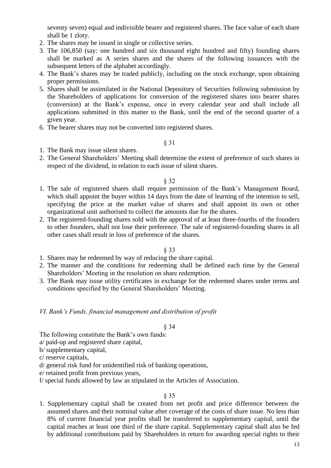seventy seven) equal and indivisible bearer and registered shares. The face value of each share shall be 1 zloty.

- 2. The shares may be issued in single or collective series.
- 3. The 106,850 (say: one hundred and six thousand eight hundred and fifty) founding shares shall be marked as A series shares and the shares of the following issuances with the subsequent letters of the alphabet accordingly.
- 4. The Bank's shares may be traded publicly, including on the stock exchange, upon obtaining proper permissions.
- 5. Shares shall be assimilated in the National Depository of Securities following submission by the Shareholders of applications for conversion of the registered shares into bearer shares (conversion) at the Bank's expense, once in every calendar year and shall include all applications submitted in this matter to the Bank, until the end of the second quarter of a given year.
- 6. The bearer shares may not be converted into registered shares.

§ 31

- 1. The Bank may issue silent shares.
- 2. The General Shareholders' Meeting shall determine the extent of preference of such shares in respect of the dividend, in relation to each issue of silent shares.

§ 32

- 1. The sale of registered shares shall require permission of the Bank's Management Board, which shall appoint the buyer within 14 days from the date of learning of the intention to sell, specifying the price at the market value of shares and shall appoint its own or other organizational unit authorised to collect the amounts due for the shares.
- 2. The registered-founding shares sold with the approval of at least three-fourths of the founders to other founders, shall not lose their preference. The sale of registered-founding shares in all other cases shall result in loss of preference of the shares.

## § 33

- 1. Shares may be redeemed by way of reducing the share capital.
- 2. The manner and the conditions for redeeming shall be defined each time by the General Shareholders' Meeting in the resolution on share redemption.
- 3. The Bank may issue utility certificates in exchange for the redeemed shares under terms and conditions specified by the General Shareholders' Meeting.

## *VI. Bank's Funds, financial management and distribution of profit*

## § 34

The following constitute the Bank's own funds:

a/ paid-up and registered share capital,

b/ supplementary capital,

c/ reserve capitals,

- d/ general risk fund for unidentified risk of banking operations,
- e/ retained profit from previous years,
- f/ special funds allowed by law as stipulated in the Articles of Association.

## § 35

1. Supplementary capital shall be created from net profit and price difference between the assumed shares and their nominal value after coverage of the costs of share issue. No less than 8% of current financial year profits shall be transferred to supplementary capital, until the capital reaches at least one third of the share capital. Supplementary capital shall also be fed by additional contributions paid by Shareholders in return for awarding special rights to their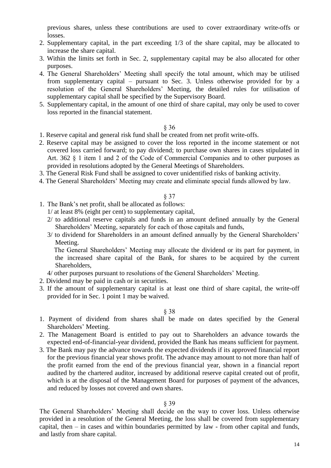previous shares, unless these contributions are used to cover extraordinary write-offs or losses.

- 2. Supplementary capital, in the part exceeding 1/3 of the share capital, may be allocated to increase the share capital.
- 3. Within the limits set forth in Sec. 2, supplementary capital may be also allocated for other purposes.
- 4. The General Shareholders' Meeting shall specify the total amount, which may be utilised from supplementary capital – pursuant to Sec. 3. Unless otherwise provided for by a resolution of the General Shareholders' Meeting, the detailed rules for utilisation of supplementary capital shall be specified by the Supervisory Board.
- 5. Supplementary capital, in the amount of one third of share capital, may only be used to cover loss reported in the financial statement.

#### § 36

- 1. Reserve capital and general risk fund shall be created from net profit write-offs.
- 2. Reserve capital may be assigned to cover the loss reported in the income statement or not covered loss carried forward; to pay dividend; to purchase own shares in cases stipulated in Art. 362 § 1 item 1 and 2 of the Code of Commercial Companies and to other purposes as provided in resolutions adopted by the General Meetings of Shareholders.
- 3. The General Risk Fund shall be assigned to cover unidentified risks of banking activity.
- 4. The General Shareholders' Meeting may create and eliminate special funds allowed by law.

## § 37

- 1. The Bank's net profit, shall be allocated as follows:
	- 1/ at least 8% (eight per cent) to supplementary capital,
	- 2/ to additional reserve capitals and funds in an amount defined annually by the General Shareholders' Meeting, separately for each of those capitals and funds,
	- 3/ to dividend for Shareholders in an amount defined annually by the General Shareholders' Meeting.

 The General Shareholders' Meeting may allocate the dividend or its part for payment, in the increased share capital of the Bank, for shares to be acquired by the current **Shareholders** 

- 4/ other purposes pursuant to resolutions of the General Shareholders' Meeting.
- 2. Dividend may be paid in cash or in securities.
- 3. If the amount of supplementary capital is at least one third of share capital, the write-off provided for in Sec. 1 point 1 may be waived.

#### § 38

- 1. Payment of dividend from shares shall be made on dates specified by the General Shareholders' Meeting.
- 2. The Management Board is entitled to pay out to Shareholders an advance towards the expected end-of-financial-year dividend, provided the Bank has means sufficient for payment.
- 3. The Bank may pay the advance towards the expected dividends if its approved financial report for the previous financial year shows profit. The advance may amount to not more than half of the profit earned from the end of the previous financial year, shown in a financial report audited by the chartered auditor, increased by additional reserve capital created out of profit, which is at the disposal of the Management Board for purposes of payment of the advances, and reduced by losses not covered and own shares.

#### § 39

The General Shareholders' Meeting shall decide on the way to cover loss. Unless otherwise provided in a resolution of the General Meeting, the loss shall be covered from supplementary capital, then – in cases and within boundaries permitted by law - from other capital and funds, and lastly from share capital.